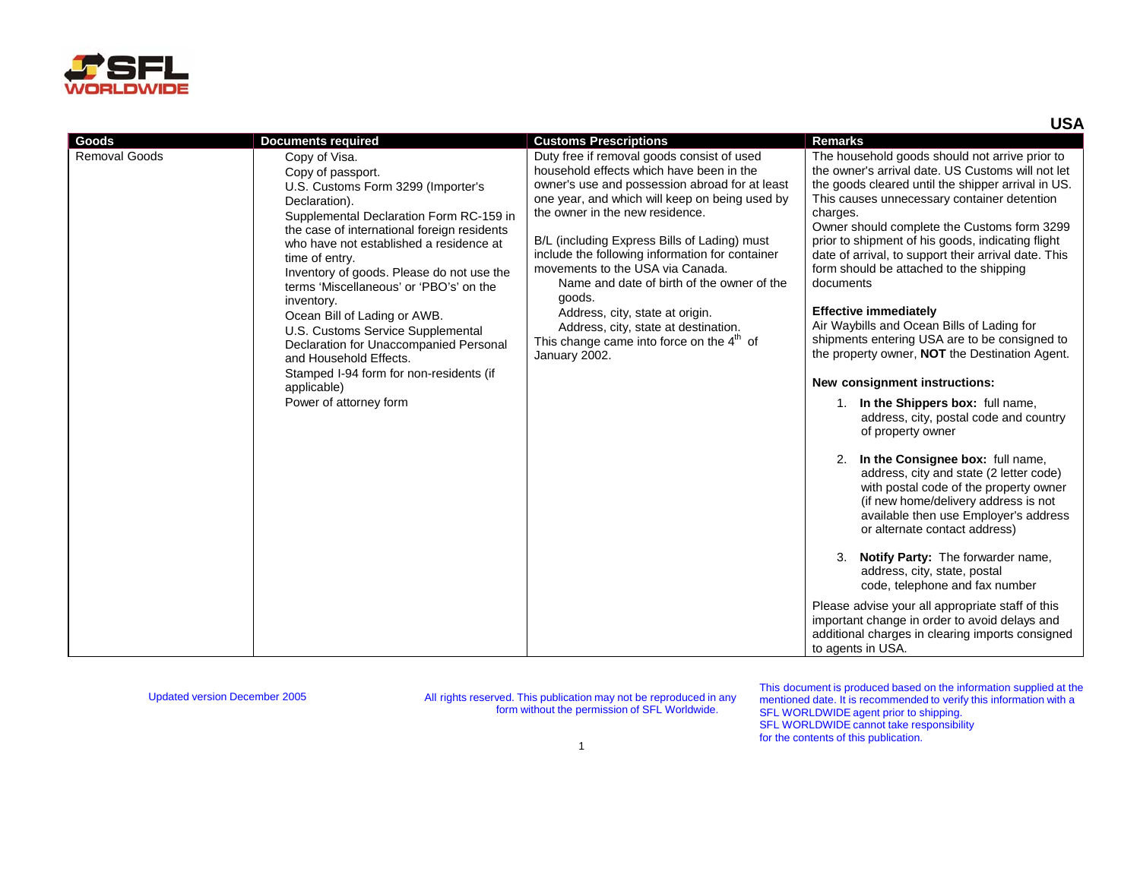

|                      |                                                                                                                                                                                                                                                                                                                                                                                                                                                                                                                                                                                     |                                                                                                                                                                                                                                                                                                                                                                                                                                                                                                                                                                         | <b>USA</b>                                                                                                                                                                                                                                                                                                                                                                                                                                                                                                                                                                                                                                                                                                                                                                                                                                                                                                                                                                                                                                                                                                                                                                                                                                                                                                   |
|----------------------|-------------------------------------------------------------------------------------------------------------------------------------------------------------------------------------------------------------------------------------------------------------------------------------------------------------------------------------------------------------------------------------------------------------------------------------------------------------------------------------------------------------------------------------------------------------------------------------|-------------------------------------------------------------------------------------------------------------------------------------------------------------------------------------------------------------------------------------------------------------------------------------------------------------------------------------------------------------------------------------------------------------------------------------------------------------------------------------------------------------------------------------------------------------------------|--------------------------------------------------------------------------------------------------------------------------------------------------------------------------------------------------------------------------------------------------------------------------------------------------------------------------------------------------------------------------------------------------------------------------------------------------------------------------------------------------------------------------------------------------------------------------------------------------------------------------------------------------------------------------------------------------------------------------------------------------------------------------------------------------------------------------------------------------------------------------------------------------------------------------------------------------------------------------------------------------------------------------------------------------------------------------------------------------------------------------------------------------------------------------------------------------------------------------------------------------------------------------------------------------------------|
| Goods                | <b>Documents required</b>                                                                                                                                                                                                                                                                                                                                                                                                                                                                                                                                                           | <b>Customs Prescriptions</b>                                                                                                                                                                                                                                                                                                                                                                                                                                                                                                                                            | <b>Remarks</b>                                                                                                                                                                                                                                                                                                                                                                                                                                                                                                                                                                                                                                                                                                                                                                                                                                                                                                                                                                                                                                                                                                                                                                                                                                                                                               |
| <b>Removal Goods</b> | Copy of Visa.<br>Copy of passport.<br>U.S. Customs Form 3299 (Importer's<br>Declaration).<br>Supplemental Declaration Form RC-159 in<br>the case of international foreign residents<br>who have not established a residence at<br>time of entry.<br>Inventory of goods. Please do not use the<br>terms 'Miscellaneous' or 'PBO's' on the<br>inventory.<br>Ocean Bill of Lading or AWB.<br>U.S. Customs Service Supplemental<br>Declaration for Unaccompanied Personal<br>and Household Effects.<br>Stamped I-94 form for non-residents (if<br>applicable)<br>Power of attorney form | Duty free if removal goods consist of used<br>household effects which have been in the<br>owner's use and possession abroad for at least<br>one year, and which will keep on being used by<br>the owner in the new residence.<br>B/L (including Express Bills of Lading) must<br>include the following information for container<br>movements to the USA via Canada.<br>Name and date of birth of the owner of the<br>goods.<br>Address, city, state at origin.<br>Address, city, state at destination.<br>This change came into force on the $4th$ of<br>January 2002. | The household goods should not arrive prior to<br>the owner's arrival date. US Customs will not let<br>the goods cleared until the shipper arrival in US.<br>This causes unnecessary container detention<br>charges.<br>Owner should complete the Customs form 3299<br>prior to shipment of his goods, indicating flight<br>date of arrival, to support their arrival date. This<br>form should be attached to the shipping<br>documents<br><b>Effective immediately</b><br>Air Waybills and Ocean Bills of Lading for<br>shipments entering USA are to be consigned to<br>the property owner, <b>NOT</b> the Destination Agent.<br>New consignment instructions:<br>1. In the Shippers box: full name,<br>address, city, postal code and country<br>of property owner<br>2. In the Consignee box: full name,<br>address, city and state (2 letter code)<br>with postal code of the property owner<br>(if new home/delivery address is not<br>available then use Employer's address<br>or alternate contact address)<br>3. Notify Party: The forwarder name,<br>address, city, state, postal<br>code, telephone and fax number<br>Please advise your all appropriate staff of this<br>important change in order to avoid delays and<br>additional charges in clearing imports consigned<br>to agents in USA. |

This document is produced based on the information supplied at the mentioned date. It is recommended to verify this information with a SFL WORLDWIDE agent prior to shipping. SFL WORLDWIDE cannot take responsibility for the contents of this publication.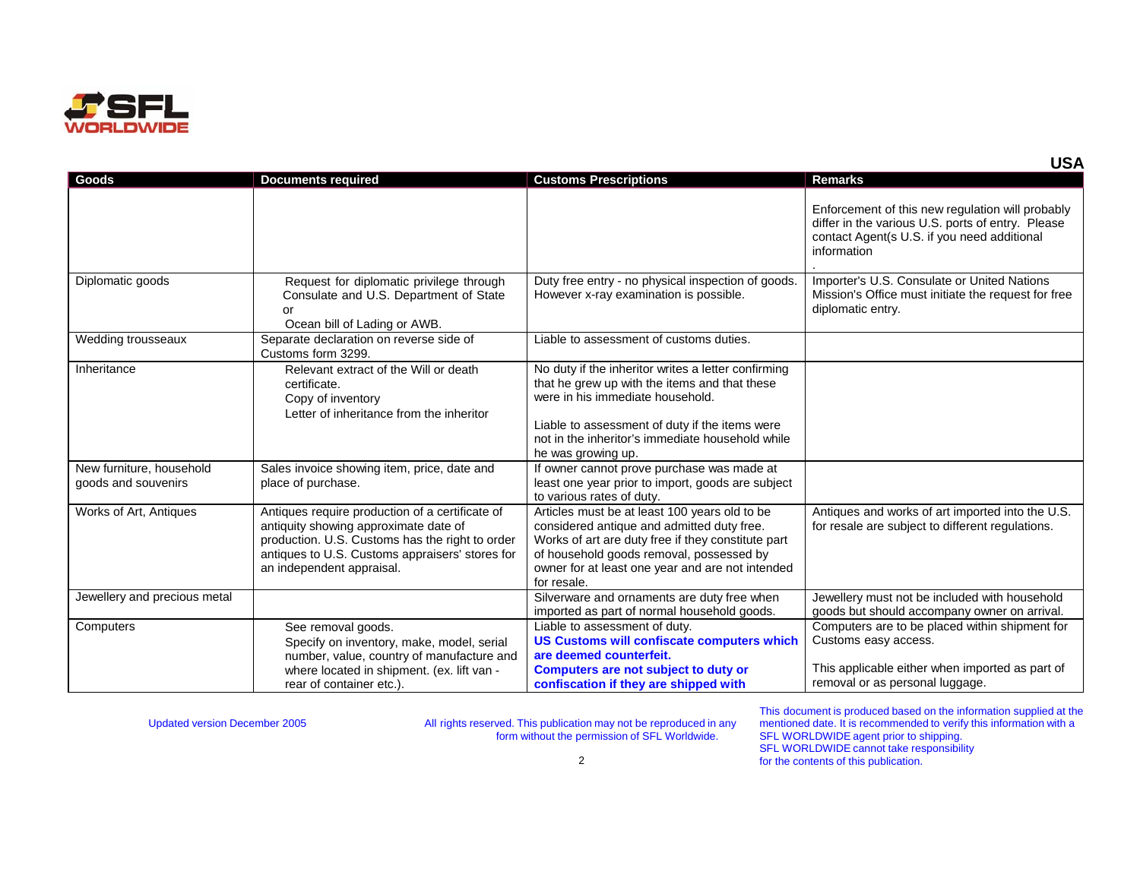

| Goods                                           | <b>Documents required</b>                                                                                                                                                                                                   | <b>Customs Prescriptions</b>                                                                                                                                                                                                                                         | <b>Remarks</b>                                                                                                                                                      |
|-------------------------------------------------|-----------------------------------------------------------------------------------------------------------------------------------------------------------------------------------------------------------------------------|----------------------------------------------------------------------------------------------------------------------------------------------------------------------------------------------------------------------------------------------------------------------|---------------------------------------------------------------------------------------------------------------------------------------------------------------------|
|                                                 |                                                                                                                                                                                                                             |                                                                                                                                                                                                                                                                      | Enforcement of this new regulation will probably<br>differ in the various U.S. ports of entry. Please<br>contact Agent(s U.S. if you need additional<br>information |
| Diplomatic goods                                | Request for diplomatic privilege through<br>Consulate and U.S. Department of State<br>or<br>Ocean bill of Lading or AWB.                                                                                                    | Duty free entry - no physical inspection of goods.<br>However x-ray examination is possible.                                                                                                                                                                         | Importer's U.S. Consulate or United Nations<br>Mission's Office must initiate the request for free<br>diplomatic entry.                                             |
| Wedding trousseaux                              | Separate declaration on reverse side of<br>Customs form 3299.                                                                                                                                                               | Liable to assessment of customs duties.                                                                                                                                                                                                                              |                                                                                                                                                                     |
| Inheritance                                     | Relevant extract of the Will or death<br>certificate.<br>Copy of inventory<br>Letter of inheritance from the inheritor                                                                                                      | No duty if the inheritor writes a letter confirming<br>that he grew up with the items and that these<br>were in his immediate household.<br>Liable to assessment of duty if the items were<br>not in the inheritor's immediate household while<br>he was growing up. |                                                                                                                                                                     |
| New furniture, household<br>goods and souvenirs | Sales invoice showing item, price, date and<br>place of purchase.                                                                                                                                                           | If owner cannot prove purchase was made at<br>least one year prior to import, goods are subject<br>to various rates of duty.                                                                                                                                         |                                                                                                                                                                     |
| Works of Art, Antiques                          | Antiques require production of a certificate of<br>antiquity showing approximate date of<br>production. U.S. Customs has the right to order<br>antiques to U.S. Customs appraisers' stores for<br>an independent appraisal. | Articles must be at least 100 years old to be<br>considered antique and admitted duty free.<br>Works of art are duty free if they constitute part<br>of household goods removal, possessed by<br>owner for at least one year and are not intended<br>for resale.     | Antiques and works of art imported into the U.S.<br>for resale are subject to different regulations.                                                                |
| Jewellery and precious metal                    |                                                                                                                                                                                                                             | Silverware and ornaments are duty free when<br>imported as part of normal household goods.                                                                                                                                                                           | Jewellery must not be included with household<br>goods but should accompany owner on arrival.                                                                       |
| Computers                                       | See removal goods.<br>Specify on inventory, make, model, serial<br>number, value, country of manufacture and<br>where located in shipment. (ex. lift van -                                                                  | Liable to assessment of duty.<br><b>US Customs will confiscate computers which</b><br>are deemed counterfeit.<br>Computers are not subject to duty or                                                                                                                | Computers are to be placed within shipment for<br>Customs easy access.<br>This applicable either when imported as part of                                           |
|                                                 | rear of container etc.).                                                                                                                                                                                                    | confiscation if they are shipped with                                                                                                                                                                                                                                | removal or as personal luggage.                                                                                                                                     |

This document is produced based on the information supplied at the mentioned date. It is recommended to verify this information with a SFL WORLDWIDE agent prior to shipping. SFL WORLDWIDE cannot take responsibility for the contents of this publication.

**USA**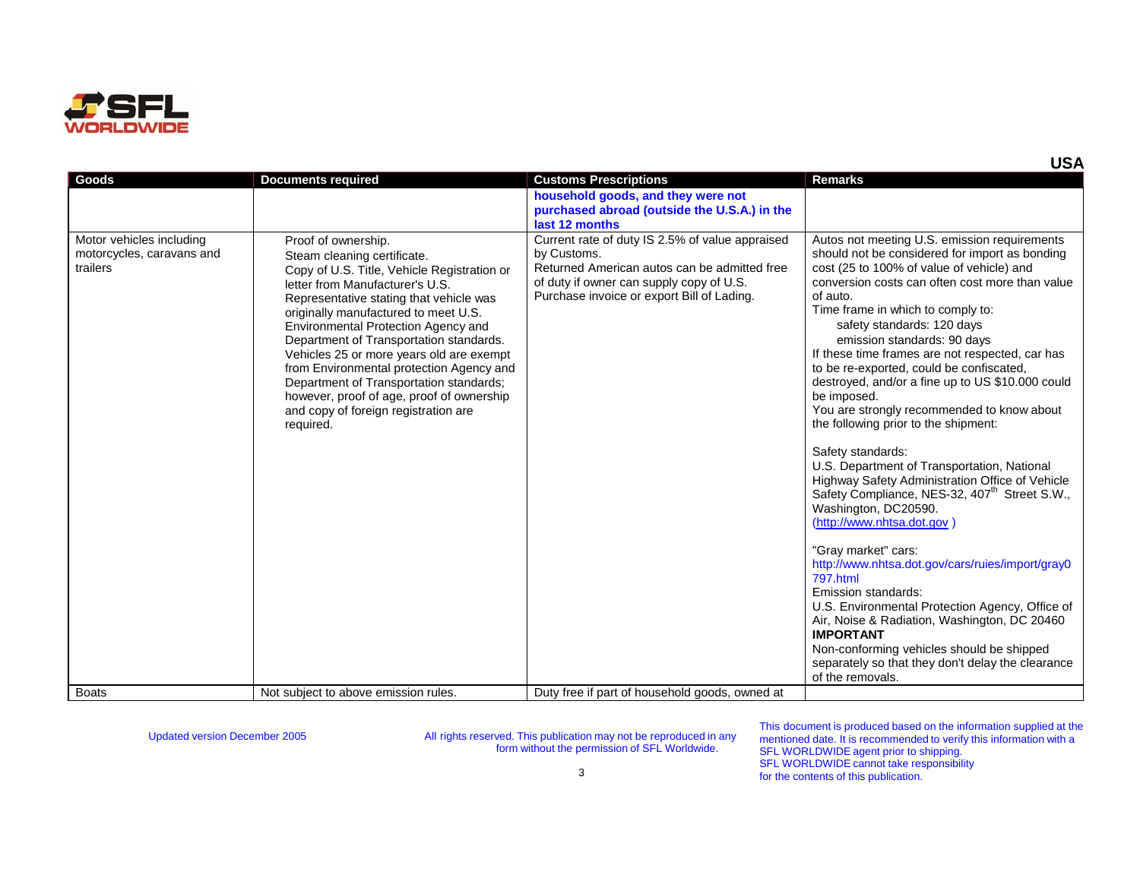

| Goods                                                             | <b>Documents required</b>                                                                                                                                                                                                                                                                                                                                                                                                                                                                                                                      | <b>Customs Prescriptions</b>                                                                                                                                                                             | <b>Remarks</b>                                                                                                                                                                                                                                                                                                                                                                                                                                                                                                                                                                                                                                                                                                                                                                                                                                                                                                                                                                                                                                                                                                                                                            |
|-------------------------------------------------------------------|------------------------------------------------------------------------------------------------------------------------------------------------------------------------------------------------------------------------------------------------------------------------------------------------------------------------------------------------------------------------------------------------------------------------------------------------------------------------------------------------------------------------------------------------|----------------------------------------------------------------------------------------------------------------------------------------------------------------------------------------------------------|---------------------------------------------------------------------------------------------------------------------------------------------------------------------------------------------------------------------------------------------------------------------------------------------------------------------------------------------------------------------------------------------------------------------------------------------------------------------------------------------------------------------------------------------------------------------------------------------------------------------------------------------------------------------------------------------------------------------------------------------------------------------------------------------------------------------------------------------------------------------------------------------------------------------------------------------------------------------------------------------------------------------------------------------------------------------------------------------------------------------------------------------------------------------------|
|                                                                   |                                                                                                                                                                                                                                                                                                                                                                                                                                                                                                                                                | household goods, and they were not                                                                                                                                                                       |                                                                                                                                                                                                                                                                                                                                                                                                                                                                                                                                                                                                                                                                                                                                                                                                                                                                                                                                                                                                                                                                                                                                                                           |
|                                                                   |                                                                                                                                                                                                                                                                                                                                                                                                                                                                                                                                                | purchased abroad (outside the U.S.A.) in the                                                                                                                                                             |                                                                                                                                                                                                                                                                                                                                                                                                                                                                                                                                                                                                                                                                                                                                                                                                                                                                                                                                                                                                                                                                                                                                                                           |
|                                                                   |                                                                                                                                                                                                                                                                                                                                                                                                                                                                                                                                                | last 12 months                                                                                                                                                                                           |                                                                                                                                                                                                                                                                                                                                                                                                                                                                                                                                                                                                                                                                                                                                                                                                                                                                                                                                                                                                                                                                                                                                                                           |
| Motor vehicles including<br>motorcycles, caravans and<br>trailers | Proof of ownership.<br>Steam cleaning certificate.<br>Copy of U.S. Title, Vehicle Registration or<br>letter from Manufacturer's U.S.<br>Representative stating that vehicle was<br>originally manufactured to meet U.S.<br>Environmental Protection Agency and<br>Department of Transportation standards.<br>Vehicles 25 or more years old are exempt<br>from Environmental protection Agency and<br>Department of Transportation standards;<br>however, proof of age, proof of ownership<br>and copy of foreign registration are<br>required. | Current rate of duty IS 2.5% of value appraised<br>by Customs.<br>Returned American autos can be admitted free<br>of duty if owner can supply copy of U.S.<br>Purchase invoice or export Bill of Lading. | Autos not meeting U.S. emission requirements<br>should not be considered for import as bonding<br>cost (25 to 100% of value of vehicle) and<br>conversion costs can often cost more than value<br>of auto.<br>Time frame in which to comply to:<br>safety standards: 120 days<br>emission standards: 90 days<br>If these time frames are not respected, car has<br>to be re-exported, could be confiscated,<br>destroyed, and/or a fine up to US \$10.000 could<br>be imposed.<br>You are strongly recommended to know about<br>the following prior to the shipment:<br>Safety standards:<br>U.S. Department of Transportation, National<br>Highway Safety Administration Office of Vehicle<br>Safety Compliance, NES-32, 407 <sup>th</sup> Street S.W.,<br>Washington, DC20590.<br>(http://www.nhtsa.dot.gov)<br>"Gray market" cars:<br>http://www.nhtsa.dot.gov/cars/ruies/import/gray0<br>797.html<br>Emission standards:<br>U.S. Environmental Protection Agency, Office of<br>Air, Noise & Radiation, Washington, DC 20460<br><b>IMPORTANT</b><br>Non-conforming vehicles should be shipped<br>separately so that they don't delay the clearance<br>of the removals. |
| <b>Boats</b>                                                      | Not subject to above emission rules.                                                                                                                                                                                                                                                                                                                                                                                                                                                                                                           | Duty free if part of household goods, owned at                                                                                                                                                           |                                                                                                                                                                                                                                                                                                                                                                                                                                                                                                                                                                                                                                                                                                                                                                                                                                                                                                                                                                                                                                                                                                                                                                           |

This document is produced based on the information supplied at the mentioned date. It is recommended to verify this information with a SFL WORLDWIDE agent prior to shipping. SFL WORLDWIDE cannot take responsibility for the contents of this publication.

**USA**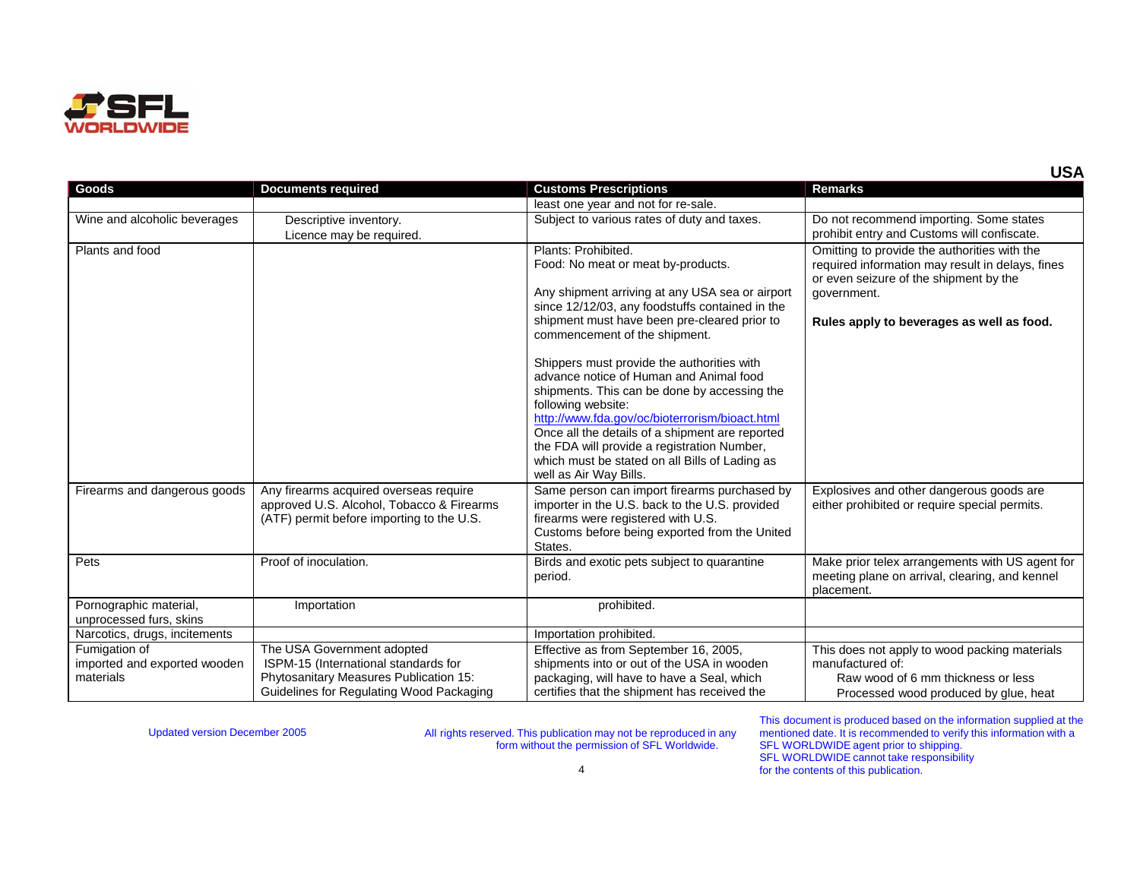

| Goods                                             | <b>Documents required</b>                                                                                                        | <b>Customs Prescriptions</b>                                                                                                                                                                                                                                                                                                                                                                | <b>Remarks</b>                                                                                                                                                                                         |
|---------------------------------------------------|----------------------------------------------------------------------------------------------------------------------------------|---------------------------------------------------------------------------------------------------------------------------------------------------------------------------------------------------------------------------------------------------------------------------------------------------------------------------------------------------------------------------------------------|--------------------------------------------------------------------------------------------------------------------------------------------------------------------------------------------------------|
|                                                   |                                                                                                                                  | least one year and not for re-sale.                                                                                                                                                                                                                                                                                                                                                         |                                                                                                                                                                                                        |
| Wine and alcoholic beverages                      | Descriptive inventory.                                                                                                           | Subject to various rates of duty and taxes.                                                                                                                                                                                                                                                                                                                                                 | Do not recommend importing. Some states                                                                                                                                                                |
|                                                   | Licence may be required.                                                                                                         |                                                                                                                                                                                                                                                                                                                                                                                             | prohibit entry and Customs will confiscate.                                                                                                                                                            |
| Plants and food                                   |                                                                                                                                  | Plants: Prohibited.<br>Food: No meat or meat by-products.<br>Any shipment arriving at any USA sea or airport<br>since 12/12/03, any foodstuffs contained in the<br>shipment must have been pre-cleared prior to<br>commencement of the shipment.                                                                                                                                            | Omitting to provide the authorities with the<br>required information may result in delays, fines<br>or even seizure of the shipment by the<br>government.<br>Rules apply to beverages as well as food. |
|                                                   |                                                                                                                                  | Shippers must provide the authorities with<br>advance notice of Human and Animal food<br>shipments. This can be done by accessing the<br>following website:<br>http://www.fda.gov/oc/bioterrorism/bioact.html<br>Once all the details of a shipment are reported<br>the FDA will provide a registration Number,<br>which must be stated on all Bills of Lading as<br>well as Air Way Bills. |                                                                                                                                                                                                        |
| Firearms and dangerous goods                      | Any firearms acquired overseas require<br>approved U.S. Alcohol, Tobacco & Firearms<br>(ATF) permit before importing to the U.S. | Same person can import firearms purchased by<br>importer in the U.S. back to the U.S. provided<br>firearms were registered with U.S.<br>Customs before being exported from the United<br>States.                                                                                                                                                                                            | Explosives and other dangerous goods are<br>either prohibited or require special permits.                                                                                                              |
| Pets                                              | Proof of inoculation.                                                                                                            | Birds and exotic pets subject to quarantine<br>period.                                                                                                                                                                                                                                                                                                                                      | Make prior telex arrangements with US agent for<br>meeting plane on arrival, clearing, and kennel<br>placement.                                                                                        |
| Pornographic material,<br>unprocessed furs, skins | Importation                                                                                                                      | prohibited.                                                                                                                                                                                                                                                                                                                                                                                 |                                                                                                                                                                                                        |
| Narcotics, drugs, incitements                     |                                                                                                                                  | Importation prohibited.                                                                                                                                                                                                                                                                                                                                                                     |                                                                                                                                                                                                        |
| Fumigation of                                     | The USA Government adopted                                                                                                       | Effective as from September 16, 2005,                                                                                                                                                                                                                                                                                                                                                       | This does not apply to wood packing materials                                                                                                                                                          |
| imported and exported wooden                      | ISPM-15 (International standards for                                                                                             | shipments into or out of the USA in wooden                                                                                                                                                                                                                                                                                                                                                  | manufactured of:                                                                                                                                                                                       |
| materials                                         | Phytosanitary Measures Publication 15:                                                                                           | packaging, will have to have a Seal, which                                                                                                                                                                                                                                                                                                                                                  | Raw wood of 6 mm thickness or less                                                                                                                                                                     |
|                                                   | Guidelines for Regulating Wood Packaging                                                                                         | certifies that the shipment has received the                                                                                                                                                                                                                                                                                                                                                | Processed wood produced by glue, heat                                                                                                                                                                  |

This document is produced based on the information supplied at the mentioned date. It is recommended to verify this information with a SFL WORLDWIDE agent prior to shipping. SFL WORLDWIDE cannot take responsibility for the contents of this publication.

4